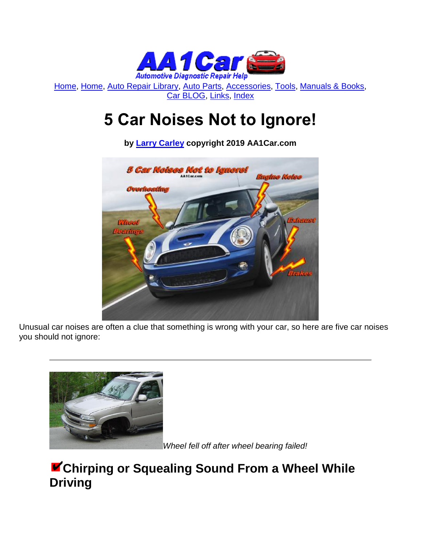

[Home,](http://www.aa1car.com/) [Home,](http://www.aa1car.com/index.html) [Auto Repair Library,](http://www.aa1car.com/library.htm) [Auto Parts,](http://www.aa1car.com/links_parts.htm) [Accessories,](http://www.aa1car.com/links_accessories.htm) [Tools,](http://www.aa1car.com/links_tools.htm) [Manuals & Books,](http://www.aa1car.com/links_books.htm) [Car BLOG,](http://www.aa1car.com/blog/blog.htm) [Links,](http://www.aa1car.com/links.htm) [Index](http://www.aa1car.com/index_alphabetical.htm)

# **5 Car Noises Not to Ignore!**

**by [Larry Carley](https://www.aa1car.com/larrypage/larrycarley_photos.htm) copyright 2019 AA1Car.com**



Unusual car noises are often a clue that something is wrong with your car, so here are five car noises you should not ignore:



*Wheel fell off after wheel bearing failed!*

### **Chirping or Squealing Sound From a Wheel While Driving**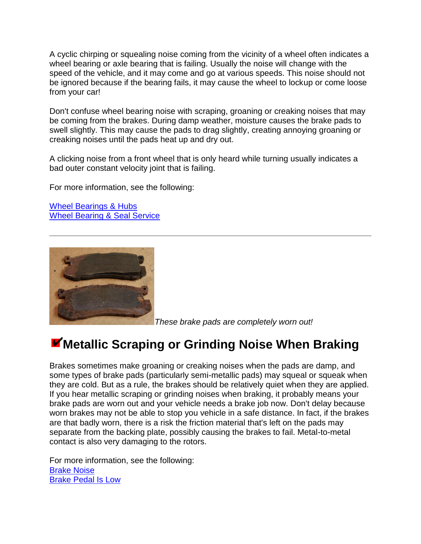A cyclic chirping or squealing noise coming from the vicinity of a wheel often indicates a wheel bearing or axle bearing that is failing. Usually the noise will change with the speed of the vehicle, and it may come and go at various speeds. This noise should not be ignored because if the bearing fails, it may cause the wheel to lockup or come loose from your car!

Don't confuse wheel bearing noise with scraping, groaning or creaking noises that may be coming from the brakes. During damp weather, moisture causes the brake pads to swell slightly. This may cause the pads to drag slightly, creating annoying groaning or creaking noises until the pads heat up and dry out.

A clicking noise from a front wheel that is only heard while turning usually indicates a bad outer constant velocity joint that is failing.

For more information, see the following:

[Wheel Bearings & Hubs](http://www.aa1car.com/library/2003/bf50360.htm) [Wheel Bearing & Seal Service](http://www.aa1car.com/library/2003/bf70348.htm)



*These brake pads are completely worn out!*

## **Metallic Scraping or Grinding Noise When Braking**

Brakes sometimes make groaning or creaking noises when the pads are damp, and some types of brake pads (particularly semi-metallic pads) may squeal or squeak when they are cold. But as a rule, the brakes should be relatively quiet when they are applied. If you hear metallic scraping or grinding noises when braking, it probably means your brake pads are worn out and your vehicle needs a brake job now. Don't delay because worn brakes may not be able to stop you vehicle in a safe distance. In fact, if the brakes are that badly worn, there is a risk the friction material that's left on the pads may separate from the backing plate, possibly causing the brakes to fail. Metal-to-metal contact is also very damaging to the rotors.

For more information, see the following: [Brake Noise](http://www.aa1car.com/library/tr996.htm) [Brake Pedal Is Low](http://www.aa1car.com/library/bfixes.htm)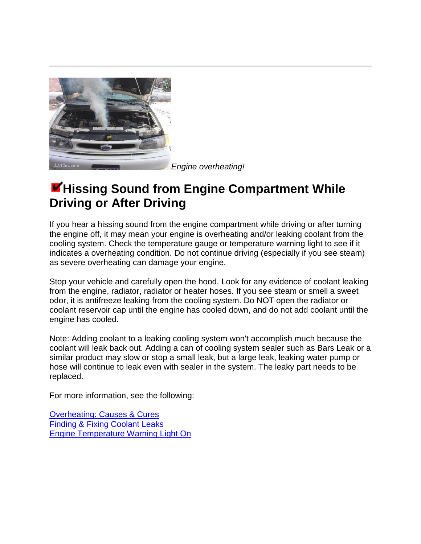

*Engine overheating!*

#### **Hissing Sound from Engine Compartment While Driving or After Driving**

If you hear a hissing sound from the engine compartment while driving or after turning the engine off, it may mean your engine is overheating and/or leaking coolant from the cooling system. Check the temperature gauge or temperature warning light to see if it indicates a overheating condition. Do not continue driving (especially if you see steam) as severe overheating can damage your engine.

Stop your vehicle and carefully open the hood. Look for any evidence of coolant leaking from the engine, radiator, radiator or heater hoses. If you see steam or smell a sweet odor, it is antifreeze leaking from the cooling system. Do NOT open the radiator or coolant reservoir cap until the engine has cooled down, and do not add coolant until the engine has cooled.

Note: Adding coolant to a leaking cooling system won't accomplish much because the coolant will leak back out. Adding a can of cooling system sealer such as Bars Leak or a similar product may slow or stop a small leak, but a large leak, leaking water pump or hose will continue to leak even with sealer in the system. The leaky part needs to be replaced.

For more information, see the following:

[Overheating: Causes & Cures](http://www.aa1car.com/library/overheat.htm) [Finding & Fixing Coolant Leaks](http://www.aa1car.com/library/coolant_leaks.htm) [Engine Temperature Warning Light On](http://www.aa1car.com/library/temp_warning_light.htm)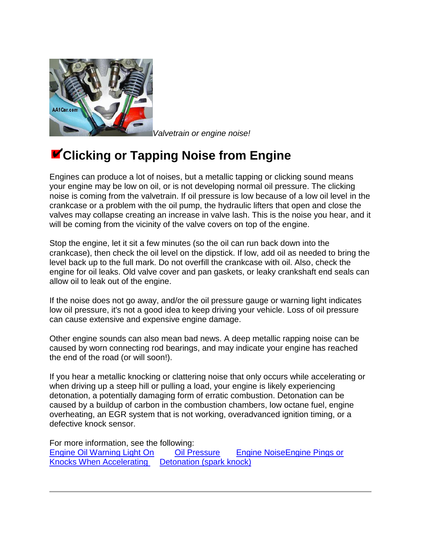

*Valvetrain or engine noise!*

## **Clicking or Tapping Noise from Engine**

Engines can produce a lot of noises, but a metallic tapping or clicking sound means your engine may be low on oil, or is not developing normal oil pressure. The clicking noise is coming from the valvetrain. If oil pressure is low because of a low oil level in the crankcase or a problem with the oil pump, the hydraulic lifters that open and close the valves may collapse creating an increase in valve lash. This is the noise you hear, and it will be coming from the vicinity of the valve covers on top of the engine.

Stop the engine, let it sit a few minutes (so the oil can run back down into the crankcase), then check the oil level on the dipstick. If low, add oil as needed to bring the level back up to the full mark. Do not overfill the crankcase with oil. Also, check the engine for oil leaks. Old valve cover and pan gaskets, or leaky crankshaft end seals can allow oil to leak out of the engine.

If the noise does not go away, and/or the oil pressure gauge or warning light indicates low oil pressure, it's not a good idea to keep driving your vehicle. Loss of oil pressure can cause extensive and expensive engine damage.

Other engine sounds can also mean bad news. A deep metallic rapping noise can be caused by worn connecting rod bearings, and may indicate your engine has reached the end of the road (or will soon!).

If you hear a metallic knocking or clattering noise that only occurs while accelerating or when driving up a steep hill or pulling a load, your engine is likely experiencing detonation, a potentially damaging form of erratic combustion. Detonation can be caused by a buildup of carbon in the combustion chambers, low octane fuel, engine overheating, an EGR system that is not working, overadvanced ignition timing, or a defective knock sensor.

For more information, see the following: [Engine Oil Warning Light On](http://www.aa1car.com/library/problem_engine_oil.htm) [Oil Pressure](http://www.aa1car.com/library/us1097.htm) [Engine NoiseEngine Pings or](http://www.aa1car.com/library/engine_noise.htm)  [Knocks When Accelerating Detonation \(spark knock\)](http://www.aa1car.com/library/spark_knock.htm)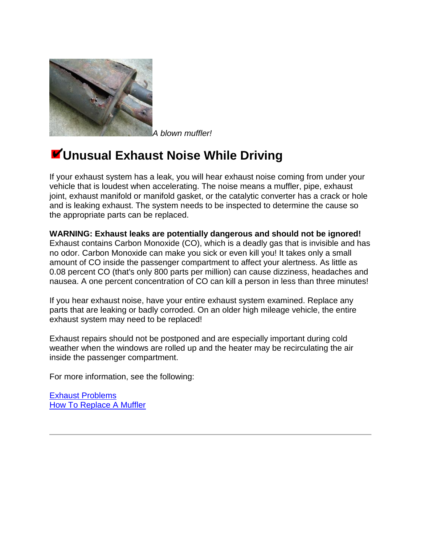

*A blown muffler!*

## **Unusual Exhaust Noise While Driving**

If your exhaust system has a leak, you will hear exhaust noise coming from under your vehicle that is loudest when accelerating. The noise means a muffler, pipe, exhaust joint, exhaust manifold or manifold gasket, or the catalytic converter has a crack or hole and is leaking exhaust. The system needs to be inspected to determine the cause so the appropriate parts can be replaced.

**WARNING: Exhaust leaks are potentially dangerous and should not be ignored!** Exhaust contains Carbon Monoxide (CO), which is a deadly gas that is invisible and has no odor. Carbon Monoxide can make you sick or even kill you! It takes only a small amount of CO inside the passenger compartment to affect your alertness. As little as 0.08 percent CO (that's only 800 parts per million) can cause dizziness, headaches and nausea. A one percent concentration of CO can kill a person in less than three minutes!

If you hear exhaust noise, have your entire exhaust system examined. Replace any parts that are leaking or badly corroded. On an older high mileage vehicle, the entire exhaust system may need to be replaced!

Exhaust repairs should not be postponed and are especially important during cold weather when the windows are rolled up and the heater may be recirculating the air inside the passenger compartment.

For more information, see the following:

[Exhaust Problems](http://www.aa1car.com/library/2004/bf110438.htm) **[How To Replace A Muffler](https://www.aa1car.com/library/muffler_how_to_replace.htm)**